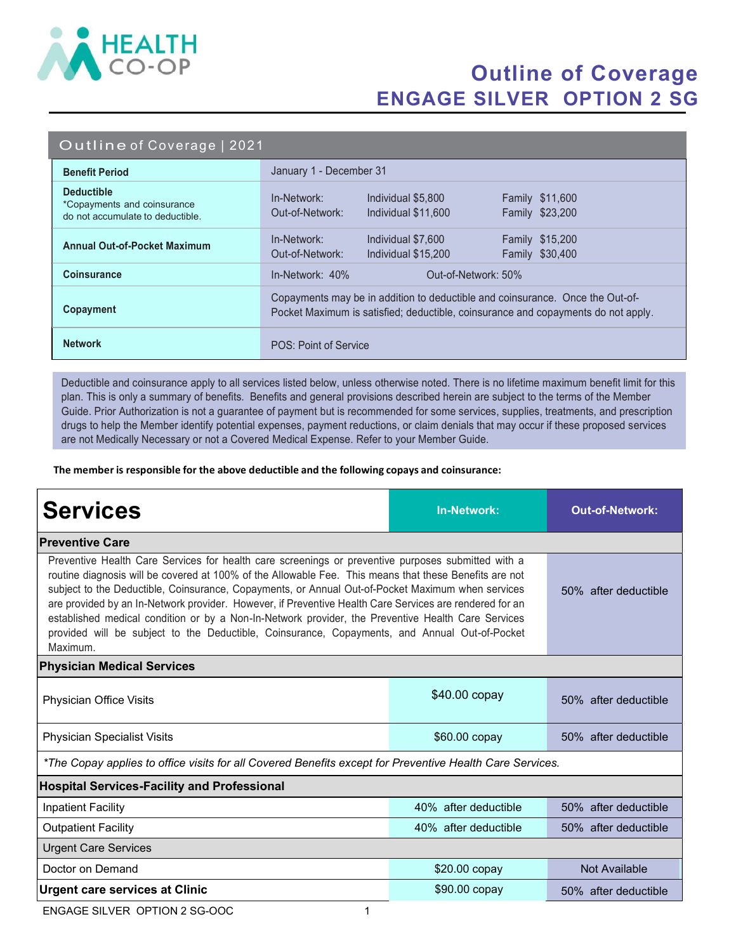

## Outline of Coverage ENGAGE SILVER OPTION 2 SG

#### Outline of Coverage | 2021

| <b>Benefit Period</b>                                                                | January 1 - December 31                                                                                                                                            |  |  |
|--------------------------------------------------------------------------------------|--------------------------------------------------------------------------------------------------------------------------------------------------------------------|--|--|
| <b>Deductible</b><br>*Copayments and coinsurance<br>do not accumulate to deductible. | In-Network:<br>Individual \$5,800<br><b>Family \$11,600</b><br>Out-of-Network:<br>Family \$23,200<br>Individual \$11,600                                           |  |  |
| <b>Annual Out-of-Pocket Maximum</b>                                                  | Family \$15,200<br>In-Network:<br>Individual \$7,600<br>Family \$30,400<br>Out-of-Network:<br>Individual \$15,200                                                  |  |  |
| <b>Coinsurance</b>                                                                   | $In-Network: 40%$<br>Out-of-Network: 50%                                                                                                                           |  |  |
| Copayment                                                                            | Copayments may be in addition to deductible and coinsurance. Once the Out-of-<br>Pocket Maximum is satisfied; deductible, coinsurance and copayments do not apply. |  |  |
| <b>Network</b>                                                                       | POS: Point of Service                                                                                                                                              |  |  |

Deductible and coinsurance apply to all services listed below, unless otherwise noted. There is no lifetime maximum benefit limit for this plan. This is only a summary of benefits. Benefits and general provisions described herein are subject to the terms of the Member Guide. Prior Authorization is not a guarantee of payment but is recommended for some services, supplies, treatments, and prescription drugs to help the Member identify potential expenses, payment reductions, or claim denials that may occur if these proposed services are not Medically Necessary or not a Covered Medical Expense. Refer to your Member Guide.

The member is responsible for the above deductible and the following copays and coinsurance:

| <b>Services</b>                                                                                                                                                                                                                                                                                                                                                                                                                                                                                                                                                                                                                                 | <b>In-Network:</b>   | <b>Out-of-Network:</b> |  |  |
|-------------------------------------------------------------------------------------------------------------------------------------------------------------------------------------------------------------------------------------------------------------------------------------------------------------------------------------------------------------------------------------------------------------------------------------------------------------------------------------------------------------------------------------------------------------------------------------------------------------------------------------------------|----------------------|------------------------|--|--|
| <b>Preventive Care</b>                                                                                                                                                                                                                                                                                                                                                                                                                                                                                                                                                                                                                          |                      |                        |  |  |
| Preventive Health Care Services for health care screenings or preventive purposes submitted with a<br>routine diagnosis will be covered at 100% of the Allowable Fee. This means that these Benefits are not<br>subject to the Deductible, Coinsurance, Copayments, or Annual Out-of-Pocket Maximum when services<br>are provided by an In-Network provider. However, if Preventive Health Care Services are rendered for an<br>established medical condition or by a Non-In-Network provider, the Preventive Health Care Services<br>provided will be subject to the Deductible, Coinsurance, Copayments, and Annual Out-of-Pocket<br>Maximum. | 50% after deductible |                        |  |  |
| <b>Physician Medical Services</b>                                                                                                                                                                                                                                                                                                                                                                                                                                                                                                                                                                                                               |                      |                        |  |  |
| Physician Office Visits                                                                                                                                                                                                                                                                                                                                                                                                                                                                                                                                                                                                                         | \$40.00 copay        | 50% after deductible   |  |  |
| <b>Physician Specialist Visits</b>                                                                                                                                                                                                                                                                                                                                                                                                                                                                                                                                                                                                              | $$60.00$ copay       | 50% after deductible   |  |  |
| *The Copay applies to office visits for all Covered Benefits except for Preventive Health Care Services.                                                                                                                                                                                                                                                                                                                                                                                                                                                                                                                                        |                      |                        |  |  |
| <b>Hospital Services-Facility and Professional</b>                                                                                                                                                                                                                                                                                                                                                                                                                                                                                                                                                                                              |                      |                        |  |  |
| <b>Inpatient Facility</b>                                                                                                                                                                                                                                                                                                                                                                                                                                                                                                                                                                                                                       | 40% after deductible | 50% after deductible   |  |  |
| <b>Outpatient Facility</b>                                                                                                                                                                                                                                                                                                                                                                                                                                                                                                                                                                                                                      | 40% after deductible | 50% after deductible   |  |  |
| <b>Urgent Care Services</b>                                                                                                                                                                                                                                                                                                                                                                                                                                                                                                                                                                                                                     |                      |                        |  |  |
| Doctor on Demand                                                                                                                                                                                                                                                                                                                                                                                                                                                                                                                                                                                                                                | \$20.00 copay        | Not Available          |  |  |
| <b>Urgent care services at Clinic</b>                                                                                                                                                                                                                                                                                                                                                                                                                                                                                                                                                                                                           | \$90.00 copay        | 50% after deductible   |  |  |

ENGAGE SILVER OPTION 2 SG-OOC 1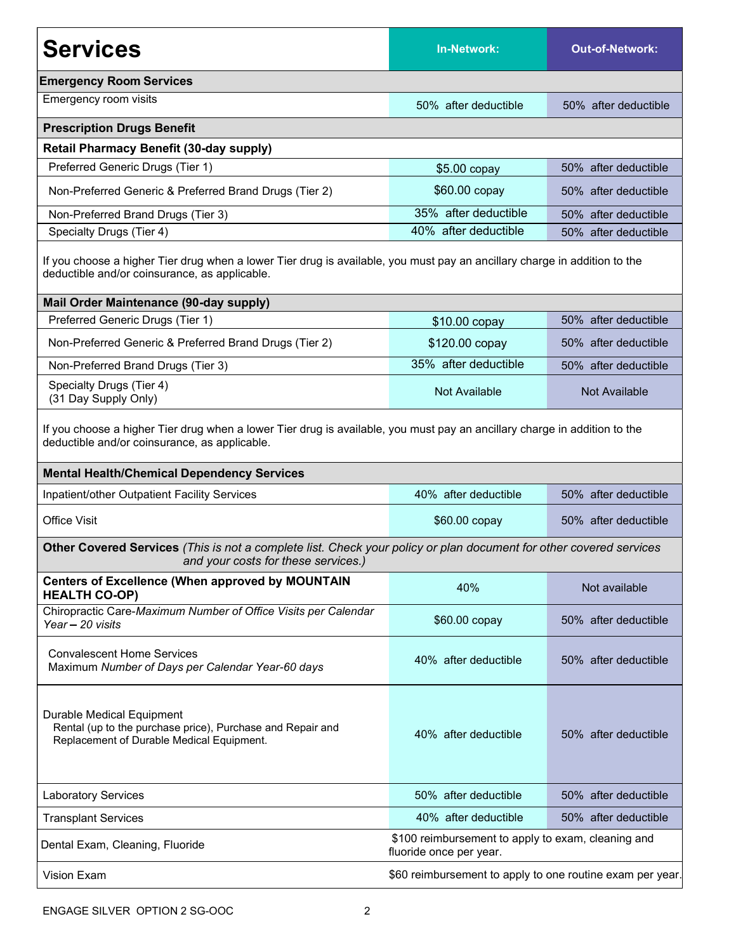| <b>Services</b>                                                                                                                                                                                                                 | <b>In-Network:</b>                                                            | <b>Out-of-Network:</b> |  |  |
|---------------------------------------------------------------------------------------------------------------------------------------------------------------------------------------------------------------------------------|-------------------------------------------------------------------------------|------------------------|--|--|
| <b>Emergency Room Services</b>                                                                                                                                                                                                  |                                                                               |                        |  |  |
| Emergency room visits                                                                                                                                                                                                           | 50% after deductible                                                          | 50% after deductible   |  |  |
| <b>Prescription Drugs Benefit</b>                                                                                                                                                                                               |                                                                               |                        |  |  |
| <b>Retail Pharmacy Benefit (30-day supply)</b>                                                                                                                                                                                  |                                                                               |                        |  |  |
| Preferred Generic Drugs (Tier 1)                                                                                                                                                                                                | $$5.00$ copay                                                                 | 50% after deductible   |  |  |
| Non-Preferred Generic & Preferred Brand Drugs (Tier 2)                                                                                                                                                                          | \$60.00 copay                                                                 | 50% after deductible   |  |  |
| Non-Preferred Brand Drugs (Tier 3)                                                                                                                                                                                              | 35% after deductible                                                          | 50% after deductible   |  |  |
| Specialty Drugs (Tier 4)                                                                                                                                                                                                        | 40% after deductible                                                          | 50% after deductible   |  |  |
| If you choose a higher Tier drug when a lower Tier drug is available, you must pay an ancillary charge in addition to the<br>deductible and/or coinsurance, as applicable.                                                      |                                                                               |                        |  |  |
| <b>Mail Order Maintenance (90-day supply)</b>                                                                                                                                                                                   |                                                                               |                        |  |  |
| Preferred Generic Drugs (Tier 1)                                                                                                                                                                                                | \$10.00 copay                                                                 | 50% after deductible   |  |  |
| Non-Preferred Generic & Preferred Brand Drugs (Tier 2)                                                                                                                                                                          | \$120.00 copay                                                                | 50% after deductible   |  |  |
| Non-Preferred Brand Drugs (Tier 3)                                                                                                                                                                                              | 35% after deductible                                                          | 50% after deductible   |  |  |
| Specialty Drugs (Tier 4)<br>(31 Day Supply Only)                                                                                                                                                                                | Not Available                                                                 | Not Available          |  |  |
| If you choose a higher Tier drug when a lower Tier drug is available, you must pay an ancillary charge in addition to the<br>deductible and/or coinsurance, as applicable.<br><b>Mental Health/Chemical Dependency Services</b> |                                                                               |                        |  |  |
| Inpatient/other Outpatient Facility Services                                                                                                                                                                                    | 40% after deductible                                                          | 50% after deductible   |  |  |
| <b>Office Visit</b>                                                                                                                                                                                                             | \$60.00 copay                                                                 | 50% after deductible   |  |  |
| Other Covered Services (This is not a complete list. Check your policy or plan document for other covered services<br>and your costs for these services.)                                                                       |                                                                               |                        |  |  |
| <b>Centers of Excellence (When approved by MOUNTAIN</b><br><b>HEALTH CO-OP)</b>                                                                                                                                                 | 40%                                                                           | Not available          |  |  |
| Chiropractic Care-Maximum Number of Office Visits per Calendar<br>Year - 20 visits                                                                                                                                              | \$60.00 copay                                                                 | 50% after deductible   |  |  |
| <b>Convalescent Home Services</b><br>Maximum Number of Days per Calendar Year-60 days                                                                                                                                           | 40% after deductible                                                          | 50% after deductible   |  |  |
| Durable Medical Equipment<br>Rental (up to the purchase price), Purchase and Repair and<br>Replacement of Durable Medical Equipment.                                                                                            | 40% after deductible                                                          | 50% after deductible   |  |  |
| <b>Laboratory Services</b>                                                                                                                                                                                                      | 50% after deductible                                                          | 50% after deductible   |  |  |
| <b>Transplant Services</b>                                                                                                                                                                                                      | 40% after deductible                                                          | 50% after deductible   |  |  |
| Dental Exam, Cleaning, Fluoride                                                                                                                                                                                                 | \$100 reimbursement to apply to exam, cleaning and<br>fluoride once per year. |                        |  |  |
| <b>Vision Exam</b>                                                                                                                                                                                                              | \$60 reimbursement to apply to one routine exam per year.                     |                        |  |  |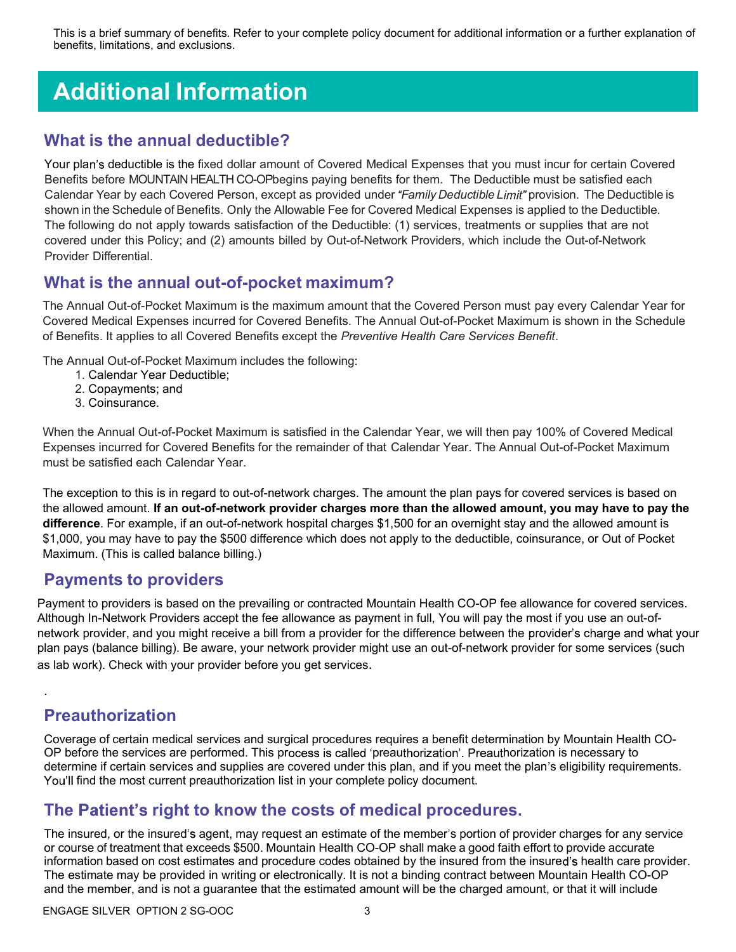This is a brief summary of benefits. Refer to your complete policy document for additional information or a further explanation of benefits, limitations, and exclusions.

# Additional Information

#### What is the annual deductible?

Your plan's deductible is the fixed dollar amount of Covered Medical Expenses that you must incur for certain Covered Benefits before MOUNTAIN HEALTH CO-OPbegins paying benefits for them. The Deductible must be satisfied each Calendar Year by each Covered Person, except as provided under "Family Deductible Limit" provision. The Deductible is shown in the Schedule of Benefits. Only the Allowable Fee for Covered Medical Expenses is applied to the Deductible. The following do not apply towards satisfaction of the Deductible: (1) services, treatments or supplies that are not covered under this Policy; and (2) amounts billed by Out-of-Network Providers, which include the Out-of-Network Provider Differential.

#### What is the annual out-of-pocket maximum?

The Annual Out-of-Pocket Maximum is the maximum amount that the Covered Person must pay every Calendar Year for Covered Medical Expenses incurred for Covered Benefits. The Annual Out-of-Pocket Maximum is shown in the Schedule of Benefits. It applies to all Covered Benefits except the Preventive Health Care Services Benefit.

The Annual Out-of-Pocket Maximum includes the following:

- 1. Calendar Year Deductible;
- 2. Copayments; and
- 3. Coinsurance.

When the Annual Out-of-Pocket Maximum is satisfied in the Calendar Year, we will then pay 100% of Covered Medical Expenses incurred for Covered Benefits for the remainder of that Calendar Year. The Annual Out-of-Pocket Maximum must be satisfied each Calendar Year.

The exception to this is in regard to out-of-network charges. The amount the plan pays for covered services is based on the allowed amount. If an out-of-network provider charges more than the allowed amount, you may have to pay the difference. For example, if an out-of-network hospital charges \$1,500 for an overnight stay and the allowed amount is \$1,000, you may have to pay the \$500 difference which does not apply to the deductible, coinsurance, or Out of Pocket Maximum. (This is called balance billing.)

#### Payments to providers

Payment to providers is based on the prevailing or contracted Mountain Health CO-OP fee allowance for covered services. Although In-Network Providers accept the fee allowance as payment in full, You will pay the most if you use an out-ofnetwork provider, and you might receive a bill from a provider for the difference between the provider's charge and what your plan pays (balance billing). Be aware, your network provider might use an out-of-network provider for some services (such as lab work). Check with your provider before you get services.

### Preauthorization

.

Coverage of certain medical services and surgical procedures requires a benefit determination by Mountain Health CO-OP before the services are performed. This process is called 'preauthorization'. Preauthorization is necessary to determine if certain services and supplies are covered under this plan, and if you meet the plan's eligibility requirements. You'll find the most current preauthorization list in your complete policy document.

#### The Patient's right to know the costs of medical procedures.

The insured, or the insured's agent, may request an estimate of the member's portion of provider charges for any service or course of treatment that exceeds \$500. Mountain Health CO-OP shall make a good faith effort to provide accurate information based on cost estimates and procedure codes obtained by the insured from the insured's health care provider. The estimate may be provided in writing or electronically. It is not a binding contract between Mountain Health CO-OP and the member, and is not a guarantee that the estimated amount will be the charged amount, or that it will include

ENGAGE SILVER OPTION 2 SG-OOC 3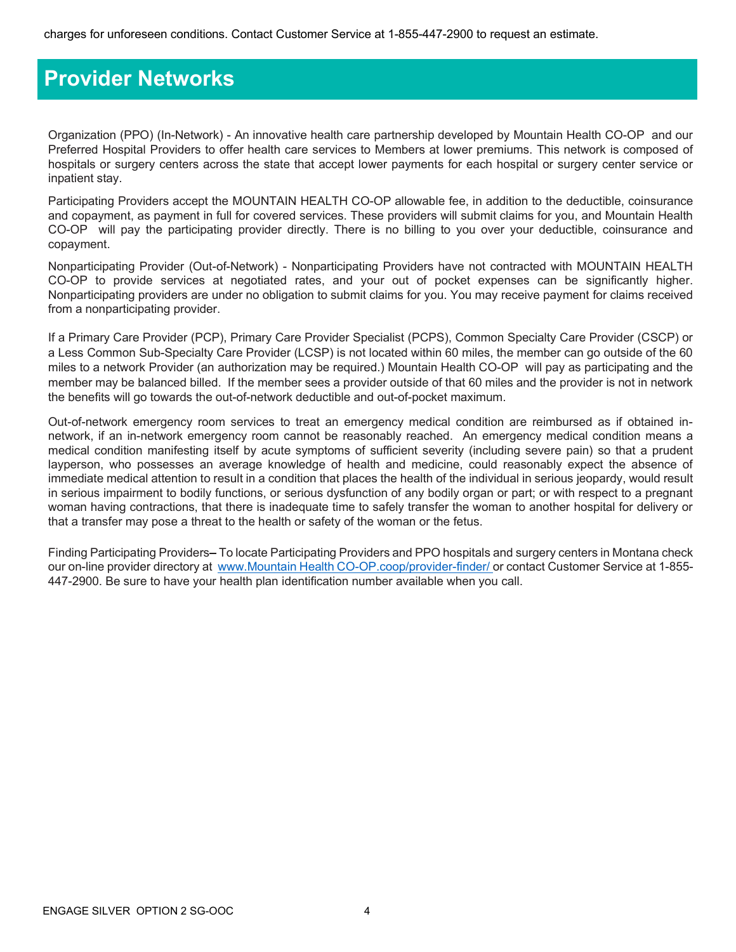### Provider Networks

Organization (PPO) (In-Network) - An innovative health care partnership developed by Mountain Health CO-OP and our Preferred Hospital Providers to offer health care services to Members at lower premiums. This network is composed of hospitals or surgery centers across the state that accept lower payments for each hospital or surgery center service or inpatient stay.

Participating Providers accept the MOUNTAIN HEALTH CO-OP allowable fee, in addition to the deductible, coinsurance and copayment, as payment in full for covered services. These providers will submit claims for you, and Mountain Health CO-OP will pay the participating provider directly. There is no billing to you over your deductible, coinsurance and copayment.

Nonparticipating Provider (Out-of-Network) - Nonparticipating Providers have not contracted with MOUNTAIN HEALTH CO-OP to provide services at negotiated rates, and your out of pocket expenses can be significantly higher. Nonparticipating providers are under no obligation to submit claims for you. You may receive payment for claims received from a nonparticipating provider.

If a Primary Care Provider (PCP), Primary Care Provider Specialist (PCPS), Common Specialty Care Provider (CSCP) or a Less Common Sub-Specialty Care Provider (LCSP) is not located within 60 miles, the member can go outside of the 60 miles to a network Provider (an authorization may be required.) Mountain Health CO-OP will pay as participating and the member may be balanced billed. If the member sees a provider outside of that 60 miles and the provider is not in network the benefits will go towards the out-of-network deductible and out-of-pocket maximum.

Out-of-network emergency room services to treat an emergency medical condition are reimbursed as if obtained innetwork, if an in-network emergency room cannot be reasonably reached. An emergency medical condition means a medical condition manifesting itself by acute symptoms of sufficient severity (including severe pain) so that a prudent layperson, who possesses an average knowledge of health and medicine, could reasonably expect the absence of immediate medical attention to result in a condition that places the health of the individual in serious jeopardy, would result in serious impairment to bodily functions, or serious dysfunction of any bodily organ or part; or with respect to a pregnant woman having contractions, that there is inadequate time to safely transfer the woman to another hospital for delivery or that a transfer may pose a threat to the health or safety of the woman or the fetus.

Finding Participating Providers–To locate Participating Providers and PPO hospitals and surgery centers in Montana check our on-line provider directory at www.Mountain Health CO-OP.coop/provider-finder/ or contact Customer Service at 1-855-447-2900. Be sure to have your health plan identification number available when you call.